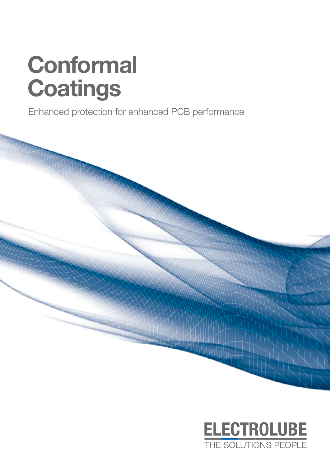# **Conformal Coatings**

Enhanced protection for enhanced PCB performance



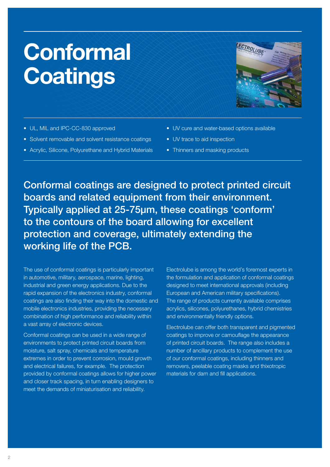# **Conformal Coatings**

- UL, MIL and IPC-CC-830 approved
- Solvent removable and solvent resistance coatings
- Acrylic, Silicone, Polyurethane and Hybrid Materials
- UV cure and water-based options available
- UV trace to aid inspection
- Thinners and masking products

Conformal coatings are designed to protect printed circuit boards and related equipment from their environment. Typically applied at 25-75µm, these coatings 'conform' to the contours of the board allowing for excellent protection and coverage, ultimately extending the working life of the PCB.

The use of conformal coatings is particularly important in automotive, military, aerospace, marine, lighting, industrial and green energy applications. Due to the rapid expansion of the electronics industry, conformal coatings are also finding their way into the domestic and mobile electronics industries, providing the necessary combination of high performance and reliability within a vast array of electronic devices.

Conformal coatings can be used in a wide range of environments to protect printed circuit boards from moisture, salt spray, chemicals and temperature extremes in order to prevent corrosion, mould growth and electrical failures, for example. The protection provided by conformal coatings allows for higher power and closer track spacing, in turn enabling designers to meet the demands of miniaturisation and reliability.

Electrolube is among the world's foremost experts in the formulation and application of conformal coatings designed to meet international approvals (including European and American military specifications). The range of products currently available comprises acrylics, silicones, polyurethanes, hybrid chemistries and environmentally friendly options.

Electrolube can offer both transparent and pigmented coatings to improve or camouflage the appearance of printed circuit boards. The range also includes a number of ancillary products to complement the use of our conformal coatings, including thinners and removers, peelable coating masks and thixotropic materials for dam and fill applications.

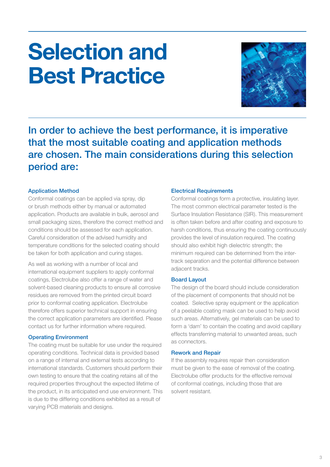# **Selection and Best Practice**



In order to achieve the best performance, it is imperative that the most suitable coating and application methods are chosen. The main considerations during this selection period are:

## Application Method

Conformal coatings can be applied via spray, dip or brush methods either by manual or automated application. Products are available in bulk, aerosol and small packaging sizes, therefore the correct method and conditions should be assessed for each application. Careful consideration of the advised humidity and temperature conditions for the selected coating should be taken for both application and curing stages.

As well as working with a number of local and international equipment suppliers to apply conformal coatings, Electrolube also offer a range of water and solvent-based cleaning products to ensure all corrosive residues are removed from the printed circuit board prior to conformal coating application. Electrolube therefore offers superior technical support in ensuring the correct application parameters are identified. Please contact us for further information where required.

## Operating Environment

The coating must be suitable for use under the required operating conditions. Technical data is provided based on a range of internal and external tests according to international standards. Customers should perform their own testing to ensure that the coating retains all of the required properties throughout the expected lifetime of the product, in its anticipated end use environment. This is due to the differing conditions exhibited as a result of varying PCB materials and designs.

## Electrical Requirements

Conformal coatings form a protective, insulating layer. The most common electrical parameter tested is the Surface Insulation Resistance (SIR). This measurement is often taken before and after coating and exposure to harsh conditions, thus ensuring the coating continuously provides the level of insulation required. The coating should also exhibit high dielectric strength; the minimum required can be determined from the intertrack separation and the potential difference between adjacent tracks.

## Board Layout

The design of the board should include consideration of the placement of components that should not be coated. Selective spray equipment or the application of a peelable coating mask can be used to help avoid such areas. Alternatively, gel materials can be used to form a 'dam' to contain the coating and avoid capillary effects transferring material to unwanted areas, such as connectors.

## Rework and Repair

If the assembly requires repair then consideration must be given to the ease of removal of the coating. Electrolube offer products for the effective removal of conformal coatings, including those that are solvent resistant.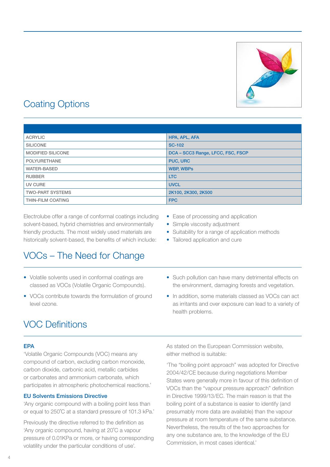

# Coating Options

| <b>ACRYLIC</b>           | HPA, APL, AFA                     |
|--------------------------|-----------------------------------|
| <b>SILICONE</b>          | <b>SC-102</b>                     |
| <b>MODIFIED SILICONE</b> | DCA - SCC3 Range, LFCC, FSC, FSCP |
| <b>POLYURETHANE</b>      | <b>PUC, URC</b>                   |
| <b>WATER-BASED</b>       | <b>WBP, WBPs</b>                  |
| <b>RUBBER</b>            | <b>LTC</b>                        |
| UV CURE                  | <b>UVCL</b>                       |
| <b>TWO-PART SYSTEMS</b>  | 2K100, 2K300, 2K500               |
| <b>THIN-FILM COATING</b> | <b>FPC</b>                        |

Electrolube offer a range of conformal coatings including solvent-based, hybrid chemistries and environmentally friendly products. The most widely used materials are historically solvent-based, the benefits of which include:

## VOCs – The Need for Change

- Volatile solvents used in conformal coatings are classed as VOCs (Volatile Organic Compounds).
- VOCs contribute towards the formulation of ground level ozone.
- Ease of processing and application
- Simple viscosity adjustment
- Suitability for a range of application methods
- Tailored application and cure
- Such pollution can have many detrimental effects on the environment, damaging forests and vegetation.
- In addition, some materials classed as VOCs can act as irritants and over exposure can lead to a variety of health problems.

## VOC Definitions

## EPA

'Volatile Organic Compounds (VOC) means any compound of carbon, excluding carbon monoxide, carbon dioxide, carbonic acid, metallic carbides or carbonates and ammonium carbonate, which participates in atmospheric photochemical reactions.'

## EU Solvents Emissions Directive

'Any organic compound with a boiling point less than or equal to 250˚C at a standard pressure of 101.3 kPa.'

Previously the directive referred to the definition as 'Any organic compound, having at 20˚C a vapour pressure of 0.01KPa or more, or having corresponding volatility under the particular conditions of use'.

As stated on the European Commission website, either method is suitable:

'The "boiling point approach" was adopted for Directive 2004/42/CE because during negotiations Member States were generally more in favour of this definition of VOCs than the "vapour pressure approach" definition in Directive 1999/13/EC. The main reason is that the boiling point of a substance is easier to identify (and presumably more data are available) than the vapour pressure at room temperature of the same substance. Nevertheless, the results of the two approaches for any one substance are, to the knowledge of the EU Commission, in most cases identical.'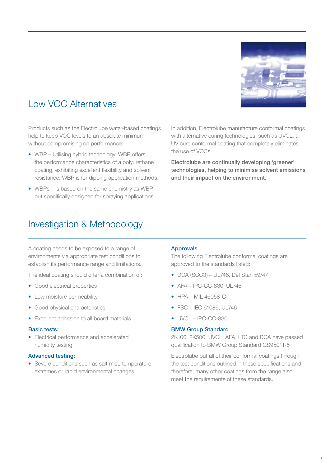

# Low VOC Alternatives

Products such as the Electrolube water-based coatings help to keep VOC levels to an absolute minimum without compromising on performance:

- WBP Utilising hybrid technology, WBP offers the performance characteristics of a polyurethane coating, exhibiting excellent flexibility and solvent resistance. WBP is for dipping application methods.
- WBPs Is based on the same chemistry as WBP but specifically designed for spraying applications.

In addition, Electrolube manufacture conformal coatings with alternative curing technologies, such as UVCL, a UV cure conformal coating that completely eliminates the use of VOCs.

Electrolube are continually developing 'greener' technologies, helping to minimise solvent emissions and their impact on the environment.

## Investigation & Methodology

A coating needs to be exposed to a range of environments via appropriate test conditions to establish its performance range and limitations.

The ideal coating should offer a combination of:

- Good electrical properties
- Low moisture permeability
- Good physical characteristics
- Excellent adhesion to all board materials

## Basic tests:

• Electrical performance and accelerated humidity testing.

## Advanced testing:

• Severe conditions such as salt mist, temperature extremes or rapid environmental changes.

## Approvals

The following Electrolube conformal coatings are approved to the standards listed:

- DCA (SCC3) UL746, Def Stan 59/47
- AFA IPC-CC-830, UL746
- HPA MIL 46058-C
- $\bullet$  FSC IFC 61086, UL746
- UVCL IPC-CC-830

## BMW Group Standard

2K100, 2K500, UVCL, AFA, LTC and DCA have passed qualification to BMW Group Standard GS95011-5

Electrolube put all of their conformal coatings through the test conditions outlined in these specifications and therefore, many other coatings from the range also meet the requirements of these standards.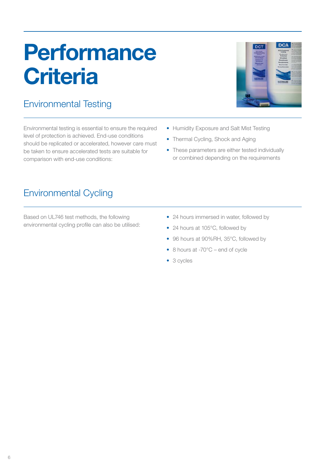# **Performance Criteria**

# Environmental Testing

Environmental testing is essential to ensure the required level of protection is achieved. End-use conditions should be replicated or accelerated, however care must be taken to ensure accelerated tests are suitable for comparison with end-use conditions:



- Humidity Exposure and Salt Mist Testing
- Thermal Cycling, Shock and Aging
- These parameters are either tested individually or combined depending on the requirements

## Environmental Cycling

Based on UL746 test methods, the following environmental cycling profile can also be utilised:

- 24 hours immersed in water, followed by
- 24 hours at 105°C, followed by
- 96 hours at 90%RH, 35°C, followed by
- 8 hours at -70°C end of cycle
- 3 cycles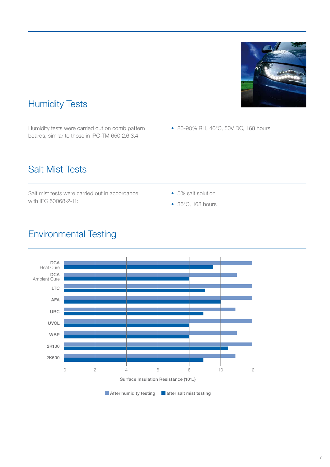

# Humidity Tests

Humidity tests were carried out on comb pattern boards, similar to those in IPC-TM 650 2.6.3.4:

• 85-90% RH, 40°C, 50V DC, 168 hours

# Salt Mist Tests

Salt mist tests were carried out in accordance with IEC 60068-2-11:

- 5% salt solution
- 35°C, 168 hours



# Environmental Testing

 $\blacksquare$  After humidity testing  $\blacksquare$  after salt mist testing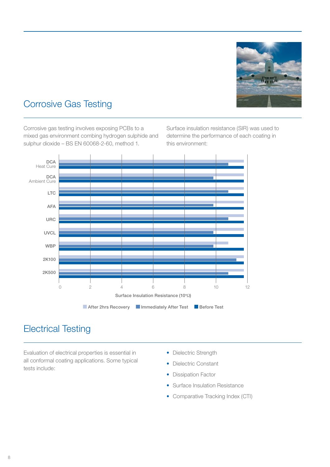

# Corrosive Gas Testing

Corrosive gas testing involves exposing PCBs to a mixed gas environment combing hydrogen sulphide and sulphur dioxide – BS EN 60068-2-60, method 1.

Surface insulation resistance (SIR) was used to determine the performance of each coating in this environment:



## Electrical Testing

Evaluation of electrical properties is essential in all conformal coating applications. Some typical tests include:

- Dielectric Strength
- Dielectric Constant
- Dissipation Factor
- Surface Insulation Resistance
- Comparative Tracking Index (CTI)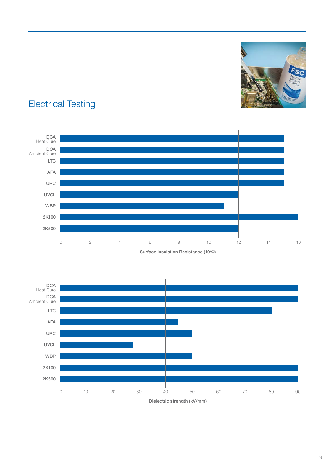

# Electrical Testing



Dielectric strength (kV/mm)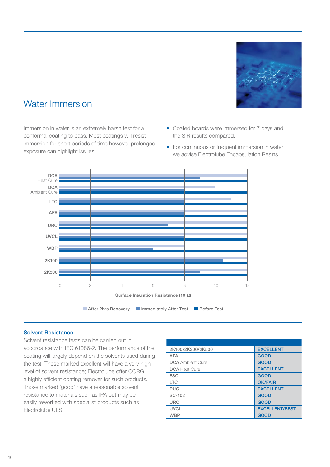

# Water Immersion

Immersion in water is an extremely harsh test for a conformal coating to pass. Most coatings will resist immersion for short periods of time however prolonged exposure can highlight issues.

- Coated boards were immersed for 7 days and the SIR results compared.
- For continuous or frequent immersion in water we advise Electrolube Encapsulation Resins



## Solvent Resistance

Solvent resistance tests can be carried out in accordance with IEC 61086-2. The performance of the coating will largely depend on the solvents used during the test. Those marked excellent will have a very high level of solvent resistance; Electrolube offer CCRG, a highly efficient coating remover for such products. Those marked 'good' have a reasonable solvent resistance to materials such as IPA but may be easily reworked with specialist products such as Electrolube ULS.

| 2K100/2K300/2K500       | <b>EXCELLENT</b>      |
|-------------------------|-----------------------|
| <b>AFA</b>              | <b>GOOD</b>           |
| <b>DCA</b> Ambient Cure | <b>GOOD</b>           |
| <b>DCA</b> Heat Cure    | <b>EXCELLENT</b>      |
| <b>FSC</b>              | <b>GOOD</b>           |
| <b>LTC</b>              | <b>OK/FAIR</b>        |
| <b>PUC</b>              | <b>EXCELLENT</b>      |
| SC-102                  | <b>GOOD</b>           |
| <b>URC</b>              | <b>GOOD</b>           |
| <b>UVCL</b>             | <b>EXCELLENT/BEST</b> |
| <b>WBP</b>              | <b>GOOD</b>           |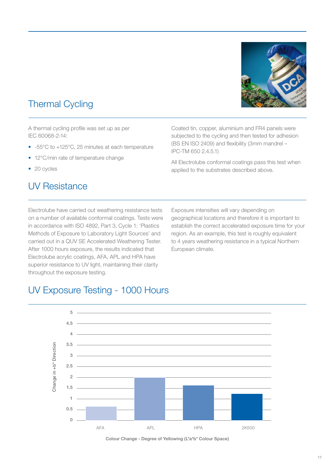# Thermal Cycling

A thermal cycling profile was set up as per IEC 60068-2-14:

- -55°C to +125°C, 25 minutes at each temperature
- 12°C/min rate of temperature change
- 20 cycles

## UV Resistance

Coated tin, copper, aluminium and FR4 panels were subjected to the cycling and then tested for adhesion (BS EN ISO 2409) and flexibility (3mm mandrel – IPC-TM 650 2.4.5.1)

All Electrolube conformal coatings pass this test when applied to the substrates described above.

Electrolube have carried out weathering resistance tests on a number of available conformal coatings. Tests were in accordance with ISO 4892, Part 3, Cycle 1: 'Plastics Methods of Exposure to Laboratory Light Sources' and carried out in a QUV SE Accelerated Weathering Tester. After 1000 hours exposure, the results indicated that Electrolube acrylic coatings, AFA, APL and HPA have superior resistance to UV light, maintaining their clarity throughout the exposure testing.

Exposure intensities will vary depending on geographical locations and therefore it is important to establish the correct accelerated exposure time for your region. As an example, this test is roughly equivalent to 4 years weathering resistance in a typical Northern European climate.

## UV Exposure Testing - 1000 Hours



Colour Change - Degree of Yellowing (L\*a\*b\* Colour Space)

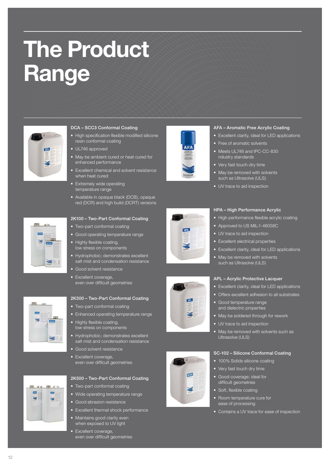# **The Product Range**



## DCA – SCC3 Conformal Coating

- High specification flexible modified silicone resin conformal coating
- UL746 approved
- May be ambient cured or heat cured for enhanced performance
- Excellent chemical and solvent resistance when heat cured
- Extremely wide operating temperature range
- Available in opaque black (DCB), opaque red (DCR) and high build (DCRT) versions



### 2K100 – Two-Part Conformal Coating

- Two-part conformal coating
- Good operating temperature range
- Highly flexible coating, low stress on components
- Hydrophobic; demonstrates excellent salt mist and condensation resistance
- Good solvent resistance
- Excellent coverage, even over difficult geometries



## 2K300 – Two-Part Conformal Coating

- Two-part conformal coating
- Enhanced operating temperature range
- Highly flexible coating, low stress on components
- Hydrophobic; demonstrates excellent salt mist and condensation resistance
- Good solvent resistance • Excellent coverage even over difficult geometries



## 2K500 – Two-Part Conformal Coating

- Two-part conformal coating
- Wide operating temperature range
- Good abrasion resistance
- Excellent thermal shock performance
- Maintains good clarity even when exposed to UV light
- Excellent coverage, even over difficult geometries





## AFA – Aromatic Free Acrylic Coating

- Excellent clarity, ideal for LED applications
- Free of aromatic solvents
- Meets UL746 and IPC-CC-830 ndustry standards
- Very fast touch-dry time
- May be removed with solvents such as Ultrasolve (ULS)
- UV trace to aid inspection







## • Approved to US MIL-1-46058C • UV trace to aid inspection

HPA – High Performance Acrylic

- Excellent electrical properties
- Excellent clarity, ideal for LED applications

• High performance flexible acrylic coating

• May be removed with solvents such as Ultrasolve (ULS)

## APL – Acrylic Protective Lacquer

- Excellent clarity, ideal for LED applications
- Offers excellent adhesion to all substrates
- Good temperature range and dielectric properties
- May be soldered through for rework
- UV trace to aid inspection
- May be removed with solvents such as Ultrasolve (ULS)

#### SC-102 – Silicone Conformal Coating

- 100% Solids silicone coating
- Very fast touch dry time
- Good coverage; ideal for difficult geometries
- Soft, flexible coating
- Room temperature cure for ease of processing
- Contains a UV trace for ease of inspection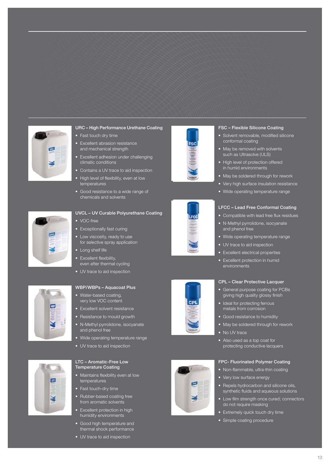

## URC – High Performance Urethane Coating

- Fast touch dry time
- Excellent abrasion resistance and mechanical strength
- Excellent adhesion under challenging climatic conditions
- Contains a UV trace to aid inspection
- High level of flexibility, even at low temperatures
- Good resistance to a wide range of chemicals and solvents





## WBP/WBPs – Aquacoat Plus

for selective spray application

• Water-based coating, very low VOC content

• Excellent flexibility, even after thermal cycling • UV trace to aid inspection

- Excellent solvent resistance
- Resistance to mould growth
- N-Methyl pyrrolidone, isocyanate and phenol free
- Wide operating temperature range
- UV trace to aid inspection



### LTC – Aromatic-Free Low Temperature Coating

- Maintains flexibility even at low temperatures
- Fast touch-dry time
- Rubber-based coating free from aromatic solvents
- Excellent protection in high humidity environments
- Good high temperature and thermal shock performance
- UV trace to aid inspection









## FSC – Flexible Silicone Coating

- Solvent removable, modified silicone conformal coating
- May be removed with solvents such as Ultrasolve (ULS)
- High level of protection offered in humid environments
- May be soldered through for rework
- Very high surface insulation resistance
- Wide operating temperature range

#### LFCC – Lead Free Conformal Coating

- Compatible with lead free flux residues
- N-Methyl pyrrolidone, isocyanate and phenol free
- Wide operating temperature range
- UV trace to aid inspection
- Excellent electrical properties
- Excellent protection in humid environments

## CPL – Clear Protective Lacquer

- General purpose coating for PCBs giving high quality glossy finish
- Ideal for protecting ferrous metals from corrosion
- Good resistance to humidity
- May be soldered through for rework
- No UV trace
- Also used as a top coat for protecting conductive lacquers

### FPC- Fluorinated Polymer Coating

- Non-flammable, ultra-thin coating
- Very low surface energy
- Repels hydrocarbon and silicone oils, synthetic fluids and aqueous solutions
- Low film strength once cured; connectors do not require masking
- Extremely quick touch dry time
- Simple coating procedure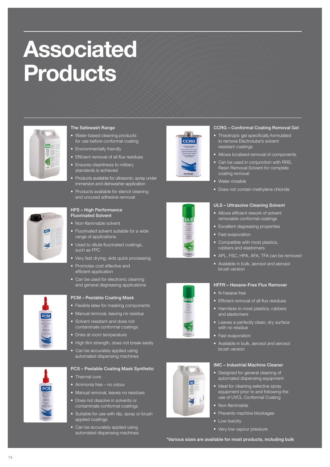# **Associated Products**



15

## The Safewash Range

- Water-based cleaning products for use before conformal coating
- Environmentally friendly
- Efficient removal of all flux residues
- Ensures cleanliness to military standards is achieved
- Products available for ultrasonic, spray under immersion and dishwasher application
- Products available for stencil cleaning and uncured adhesive removal

## HFS – High Performance Fluorinated Solvent

- Non-flammable solvent
- Fluorinated solvent suitable for a wide range of applications
- Used to dilute fluorinated coatings, such as FPC
- Very fast drying; aids quick processing
- Promotes cost effective and efficient application
- Can be used for electronic cleaning and general degreasing applications



## PCM – Peelable Coating Mask

- Flexible latex for masking components
- Manual removal, leaving no residue
- Solvent resistant and does not contaminate conformal coatings
- Dries at room temperature
- High film strength, does not break easily
- Can be accurately applied using automated dispensing machines

## PCS – Peelable Coating Mask Synthetic

- Thermal cure
- Ammonia free no odour
- Manual removal, leaves no residues
- Does not dissolve in solvents or contaminate conformal coatings
- Suitable for use with dip, spray or brush applied coatings
- Can be accurately applied using automated dispensing machines





- Thixotropic gel specifically formulated to remove Electrolube's solvent resistant coatings
- Allows localised removal of components
- Can be used in conjunction with RRS, Resin Removal Solvent for complete coating removal
- Water rinsable
- Does not contain methylene chloride

## ULS – Ultrasolve Cleaning Solvent

- Allows efficient rework of solvent removable conformal coatings
- Excellent degreasing properties
- Fast evaporation
- Compatible with most plastics, rubbers and elastomers
- APL, FSC, HPA, AFA, TFA can be removed
- Available in bulk, aerosol and aerosol brush version

## HFFR – Hexane-Free Flux Remover

- N-hexane free
- Efficient removal of all flux residues
- Harmless to most plastics, rubbers and elastomers
- Leaves a perfectly clean, dry surface with no residue
- Fast evaporation
- Available in bulk, aerosol and aerosol brush version

## IMC – Industrial Machine Cleaner

- Designed for general cleaning of automated dispensing equipment
- Ideal for cleaning selective spray equipment prior to and following the use of UVCL Conformal Coating
- Non-flammable
- Prevents machine blockages
- Low toxicity
- Very low vapour pressure

\*Various sizes are available for most products, including bulk











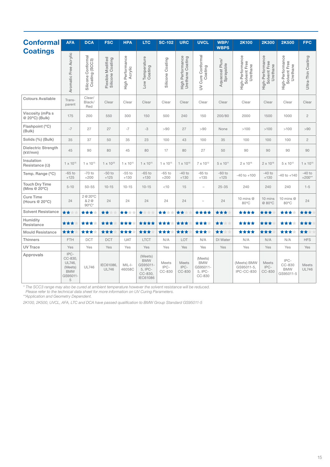| <b>Conformal</b>                       | <b>AFA</b>                                                          | <b>DCA</b>                           | <b>FSC</b>                            | <b>HPA</b>                  | <b>LTC</b>                                                                 | <b>SC-102</b>           | <b>URC</b>                           | <b>UVCL</b>                                            | WBP/<br><b>WBPS</b>         | <b>2K100</b>                                 | <b>2K300</b>                                 | <b>2K500</b>                                 | <b>FPC</b>                   |
|----------------------------------------|---------------------------------------------------------------------|--------------------------------------|---------------------------------------|-----------------------------|----------------------------------------------------------------------------|-------------------------|--------------------------------------|--------------------------------------------------------|-----------------------------|----------------------------------------------|----------------------------------------------|----------------------------------------------|------------------------------|
| <b>Coatings</b>                        | Aromatic Free Acrylic                                               | Silicone Conformal<br>Coating (SCC3) | Flexible Modified<br>Silicone Coating | High Performance<br>Acrylic | Low Temperature<br>Coating                                                 | Silicone Coating        | High Performance<br>Urethane Coating | Cure Conformal<br>Coating<br>$\geq$                    | Aquacoat Plus/<br>Sprayable | High-Performance<br>Solvent Free<br>Urethane | High-Performance<br>Solvent Free<br>Urethane | High-Performance<br>Solvent Free<br>Urethane | Ultra-Thin Coating           |
| <b>Colours Available</b>               | Trans-<br>parent                                                    | Clear/<br>Black/<br>Red              | Clear                                 | Clear                       | Clear                                                                      | Clear                   | Clear                                | Clear                                                  | Clear                       | Clear                                        | Clear                                        | Clear                                        | Clear                        |
| Viscosity (mPa s<br>@ 20°C) (Bulk)     | 175                                                                 | 200                                  | 550                                   | 300                         | 150                                                                        | 500                     | 240                                  | 150                                                    | 200/80                      | 2000                                         | 1500                                         | 1000                                         | $\sqrt{2}$                   |
| Flashpoint (°C)<br>(Bulk)              | $-7$                                                                | 27                                   | 27                                    | $-7$                        | $-3$                                                                       | >90                     | 27                                   | >90                                                    | None                        | >100                                         | >100                                         | >100                                         | >90                          |
| Solids (%) (Bulk)                      | 35                                                                  | 37                                   | 50                                    | 35                          | 23                                                                         | 100                     | 43                                   | 100                                                    | 35                          | 100                                          | 100                                          | 100                                          | $\overline{c}$               |
| Dielectric Strength<br>(kV/mm)         | 45                                                                  | 90                                   | 80                                    | 45                          | 80                                                                         | 17                      | 80                                   | 27                                                     | 50                          | 90                                           | 90                                           | 90                                           | 90                           |
| Insulation<br>Resistance $(\Omega)$    | $1 \times 10^{15}$                                                  | $1 \times 10^{15}$                   | $1 \times 10^{20}$                    | $1 \times 10^{15}$          | $1 \times 10^{15}$                                                         | $1 \times 10^{15}$      | $1 \times 10^{16}$                   | 7 x 10 <sup>12</sup>                                   | $5 \times 10^{11}$          | $2 \times 10^{16}$                           | $2 \times 10^{16}$                           | $5 \times 10^{12}$                           | $1 \times 10^{15}$           |
| Temp. Range (°C)                       | $-65$ to<br>$+125$                                                  | $-70$ to<br>$+200$                   | $-50$ to<br>$+125$                    | $-55$ to<br>$+130$          | $-65$ to<br>$+130$                                                         | $-65$ to<br>$+200$      | $-40$ to<br>$+130$                   | $-65$ to<br>$+135$                                     | $-60$ to<br>$+125$          | $-40$ to $+100$                              | $-40$ to<br>$+130$                           | $-40$ to $+140$                              | $-40$ to<br>$+200**$         |
| <b>Touch Dry Time</b><br>(Mins @ 20°C) | $5 - 10$                                                            | $50 - 55$                            | $10 - 15$                             | $10 - 15$                   | $10 - 15$                                                                  | $<$ 10                  | 15                                   | $\overline{\phantom{a}}$                               | $25 - 35$                   | 240                                          | 240                                          | 240                                          | $1 - 5$                      |
| <b>Cure Time</b><br>(Hours @ 20°C)     | 24                                                                  | 2 @ 20°C<br>& 2 @<br>$90^{\circ}$ C* | 24                                    | 24                          | 24                                                                         | 24                      | 24                                   |                                                        | 24                          | 10 mins @<br>80°C                            | 10 mins<br>@80°C                             | 10 mins $@$<br>80°C                          | 24                           |
| <b>Solvent Resistance</b>              | **                                                                  | ***                                  | **<br>向下                              | ★★★★                        | $\bigstar$<br>女女女                                                          | ★★★★                    | **                                   | ****                                                   | ***                         | ****                                         | ***                                          | ****                                         | ***                          |
| Humidity<br>Resistance                 | ***                                                                 | ***                                  | ***                                   | ***<br>÷                    | ****                                                                       | ***                     | ***                                  | ****                                                   | **<br>A Y                   | ****                                         | ***                                          | ****                                         | ***                          |
| <b>Mould Resistance</b>                | ***                                                                 | ***                                  | ***                                   | ***                         | ***                                                                        | ***                     | ***                                  | ***<br>÷                                               | **<br>食食                    | ****                                         | ***                                          | ****                                         | **                           |
| <b>Thinners</b>                        | <b>FTH</b>                                                          | <b>DCT</b>                           | <b>DCT</b>                            | <b>UAT</b>                  | <b>LTCT</b>                                                                | N/A                     | LOT                                  | N/A                                                    | DI Water                    | N/A                                          | N/A                                          | N/A                                          | <b>HFS</b>                   |
| <b>UV Trace</b>                        | Yes                                                                 | Yes                                  | Yes                                   | Yes                         | Yes                                                                        | Yes                     | Yes                                  | Yes                                                    | Yes                         | Yes                                          | Yes                                          | Yes                                          | Yes                          |
| Approvals                              | IPC-<br>CC-830,<br>UL746,<br>(Meets)<br><b>BMW</b><br>GS95011-<br>5 | <b>UL746</b>                         | IEC61086.<br><b>UL746</b>             | $MIL-I-$<br>46058C          | (Meets)<br><b>BMW</b><br>GS95011-<br>5, IPC-<br>CC-830,<br><b>IEC61086</b> | Meets<br>IPC-<br>CC-830 | Meets<br>IPC-<br>CC-830              | (Meets)<br><b>BMW</b><br>GS95011-<br>5, IPC-<br>CC-830 |                             | (Meets) BMW<br>GS95011-5,<br>IPC-CC-830      | Meets<br>IPC-<br>CC-830                      | IPC-<br>CC-830<br><b>BMW</b><br>GS95011-5    | <b>Meets</b><br><b>UL746</b> |

*\* The SCC3 range may also be cured at ambient temperature however the solvent resistance will be reduced.* 

*Please refer to the technical data sheet for more information on UV Curing Parameters.*

*\*\*Application and Geometry Dependent.*

*2K100, 2K500, UVCL, AFA, LTC and DCA have passed qualification to BMW Group Standard GS95011-5*